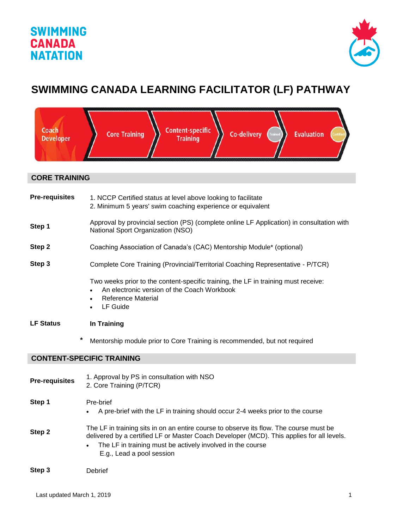## **SWIMMING CANADA NATATION**



# **SWIMMING CANADA LEARNING FACILITATOR (LF) PATHWAY**

| Coach<br><b>Developer</b>        | <b>Content-specific</b><br>Co-delivery<br><b>Evaluation</b><br><b>Core Training</b><br>Trained<br>Certific<br><b>Training</b>                                                                                                                                                  |  |
|----------------------------------|--------------------------------------------------------------------------------------------------------------------------------------------------------------------------------------------------------------------------------------------------------------------------------|--|
| <b>CORE TRAINING</b>             |                                                                                                                                                                                                                                                                                |  |
| <b>Pre-requisites</b>            | 1. NCCP Certified status at level above looking to facilitate<br>2. Minimum 5 years' swim coaching experience or equivalent                                                                                                                                                    |  |
| Step 1                           | Approval by provincial section (PS) (complete online LF Application) in consultation with<br>National Sport Organization (NSO)                                                                                                                                                 |  |
| Step 2                           | Coaching Association of Canada's (CAC) Mentorship Module* (optional)                                                                                                                                                                                                           |  |
| Step 3                           | Complete Core Training (Provincial/Territorial Coaching Representative - P/TCR)                                                                                                                                                                                                |  |
|                                  | Two weeks prior to the content-specific training, the LF in training must receive:<br>An electronic version of the Coach Workbook<br><b>Reference Material</b><br>LF Guide<br>$\bullet$                                                                                        |  |
| <b>LF Status</b>                 | In Training                                                                                                                                                                                                                                                                    |  |
| *                                | Mentorship module prior to Core Training is recommended, but not required                                                                                                                                                                                                      |  |
| <b>CONTENT-SPECIFIC TRAINING</b> |                                                                                                                                                                                                                                                                                |  |
| <b>Pre-requisites</b>            | 1. Approval by PS in consultation with NSO<br>2. Core Training (P/TCR)                                                                                                                                                                                                         |  |
| Step 1                           | Pre-brief<br>A pre-brief with the LF in training should occur 2-4 weeks prior to the course<br>$\bullet$                                                                                                                                                                       |  |
| Step 2                           | The LF in training sits in on an entire course to observe its flow. The course must be<br>delivered by a certified LF or Master Coach Developer (MCD). This applies for all levels.<br>The LF in training must be actively involved in the course<br>E.g., Lead a pool session |  |
| Step 3                           | Debrief                                                                                                                                                                                                                                                                        |  |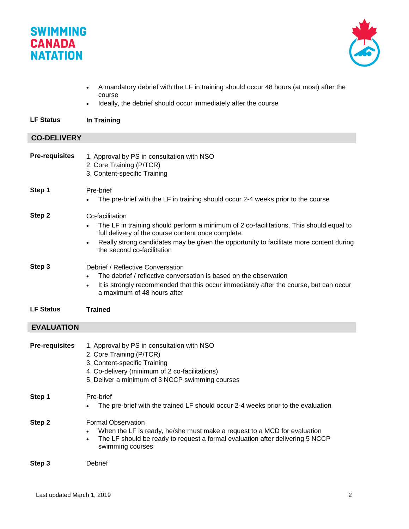# **SWIMMING CANADA NATATION**



- A mandatory debrief with the LF in training should occur 48 hours (at most) after the course
- Ideally, the debrief should occur immediately after the course

### **LF Status In Training**

### **CO-DELIVERY**

| <b>Pre-requisites</b> | 1. Approval by PS in consultation with NSO<br>2. Core Training (P/TCR)<br>3. Content-specific Training                                                                                                                                                                                    |
|-----------------------|-------------------------------------------------------------------------------------------------------------------------------------------------------------------------------------------------------------------------------------------------------------------------------------------|
| Step 1                | Pre-brief<br>The pre-brief with the LF in training should occur 2-4 weeks prior to the course                                                                                                                                                                                             |
| Step 2                | Co-facilitation<br>The LF in training should perform a minimum of 2 co-facilitations. This should equal to<br>full delivery of the course content once complete.<br>Really strong candidates may be given the opportunity to facilitate more content during<br>the second co-facilitation |
| Step 3                | Debrief / Reflective Conversation<br>The debrief / reflective conversation is based on the observation<br>$\bullet$<br>It is strongly recommended that this occur immediately after the course, but can occur<br>$\bullet$<br>a maximum of 48 hours after                                 |
| <b>LF Status</b>      | <b>Trained</b>                                                                                                                                                                                                                                                                            |
| <b>EVALUATION</b>     |                                                                                                                                                                                                                                                                                           |
| <b>Pre-requisites</b> | 1. Approval by PS in consultation with NSO<br>2. Core Training (P/TCR)<br>3. Content-specific Training<br>4. Co-delivery (minimum of 2 co-facilitations)<br>5. Deliver a minimum of 3 NCCP swimming courses                                                                               |
| Step 1                | Pre-brief<br>The pre-brief with the trained LF should occur 2-4 weeks prior to the evaluation                                                                                                                                                                                             |
| Step 2                | <b>Formal Observation</b><br>When the LF is ready, he/she must make a request to a MCD for evaluation<br>The LF should be ready to request a formal evaluation after delivering 5 NCCP<br>swimming courses                                                                                |
| Step 3                | Debrief                                                                                                                                                                                                                                                                                   |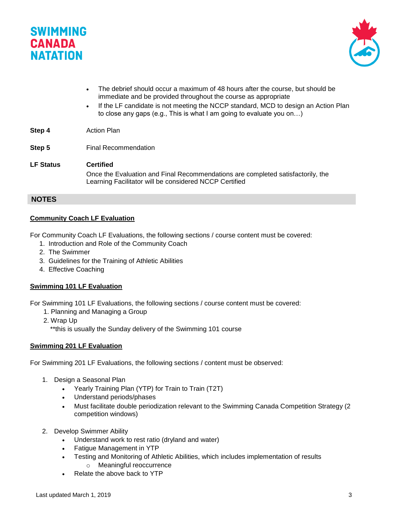



- The debrief should occur a maximum of 48 hours after the course, but should be immediate and be provided throughout the course as appropriate
- If the LF candidate is not meeting the NCCP standard, MCD to design an Action Plan to close any gaps (e.g., This is what I am going to evaluate you on…)

**Step 4** Action Plan

- **Step 5** Final Recommendation
- **LF Status Certified** Once the Evaluation and Final Recommendations are completed satisfactorily, the Learning Facilitator will be considered NCCP Certified

### **NOTES**

#### **Community Coach LF Evaluation**

For Community Coach LF Evaluations, the following sections / course content must be covered:

- 1. Introduction and Role of the Community Coach
- 2. The Swimmer
- 3. Guidelines for the Training of Athletic Abilities
- 4. Effective Coaching

#### **Swimming 101 LF Evaluation**

For Swimming 101 LF Evaluations, the following sections / course content must be covered:

- 1. Planning and Managing a Group
- 2. Wrap Up
	- \*\*this is usually the Sunday delivery of the Swimming 101 course

#### **Swimming 201 LF Evaluation**

For Swimming 201 LF Evaluations, the following sections / content must be observed:

- 1. Design a Seasonal Plan
	- Yearly Training Plan (YTP) for Train to Train (T2T)
	- Understand periods/phases
	- Must facilitate double periodization relevant to the Swimming Canada Competition Strategy (2 competition windows)
- 2. Develop Swimmer Ability
	- Understand work to rest ratio (dryland and water)
	- Fatigue Management in YTP
	- Testing and Monitoring of Athletic Abilities, which includes implementation of results o Meaningful reoccurrence
	- Relate the above back to YTP